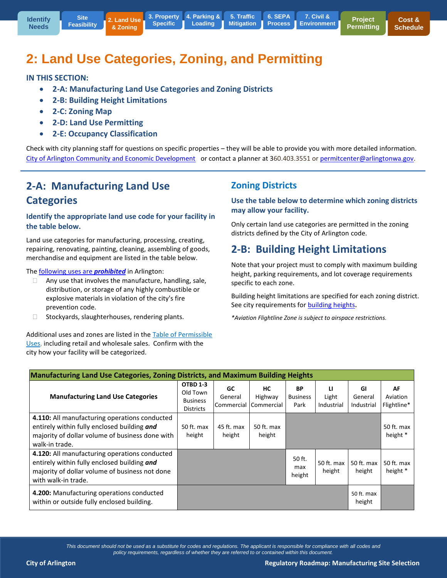**5. Traffic [Mitigation](http://www.arlingtonwa.gov/roadmap-traffic) 6. SEPA [Process](http://www.arlingtonwa.gov/roadmap-sepa) Example 19 Specific | Loading | Mitigation | Process | [Environment](http://www.arlingtonwa.gov/roadmap-civil)** 

# **2: Land Use Categories, Zoning, and Permitting**

#### **IN THIS SECTION:**

- **2-A: Manufacturing Land Use Categories and Zoning Districts**
- **2-B: Building Height Limitations**
- **2-C: Zoning Map**
- **2-D: Land Use Permitting**
- **2-E: Occupancy Classification**

Check with city planning staff for questions on specific properties – they will be able to provide you with more detailed information. [City of Arlington Community and Economic Development](http://www.arlingtonwa.gov/index.aspx?page=70) or contact a planner at 360.403.3551 o[r permitcenter@arlingtonwa.gov.](mailto:permitcenter@arlingtonwa.gov)

## **2-A: Manufacturing Land Use Categories**

#### **Identify the appropriate land use code for your facility in the table below.**

Land use categories for manufacturing, processing, creating, repairing, renovating, painting, cleaning, assembling of goods, merchandise and equipment are listed in the table below.

The [following uses are](https://www.municode.com/library/wa/arlington/codes/code_of_ordinances?nodeId=TIT20ZO_CH20.40PEUS_20.40.040PEUSSPEX) *prohibited* in Arlington:

- $\Box$  Any use that involves the manufacture, handling, sale, distribution, or storage of any highly combustible or explosive materials in violation of the city's fire prevention code.
- $\Box$  Stockyards, slaughterhouses, rendering plants.

Additional uses and zones are listed in the [Table of Permissible](https://www.municode.com/library/wa/arlington/codes/code_of_ordinances?nodeId=TIT20ZO_CH20.40PEUS_20.40.010TAPEUS)  [Uses,](https://www.municode.com/library/wa/arlington/codes/code_of_ordinances?nodeId=TIT20ZO_CH20.40PEUS_20.40.010TAPEUS) including retail and wholesale sales. Confirm with the city how your facility will be categorized.

### **Zoning Districts**

**Use the table below to determine which zoning districts may allow your facility.** 

**7. Civil &** 

Only certain land use categories are permitted in the zoning districts defined by the City of Arlington code.

## **2-B: Building Height Limitations**

Note that your project must to comply with maximum building height, parking requirements, and lot coverage requirements specific to each zone.

Building height limitations are specified for each zoning district. See city requirements for [building heights](https://www.municode.com/library/wa/arlington/codes/code_of_ordinances?nodeId=TIT20ZO_CH20.48DEDIRE_20.48.060BUHELI)**.**

*\*Aviation Flightline Zone is subject to airspace restrictions.* 

| <b>Manufacturing Land Use Categories, Zoning Districts, and Maximum Building Heights</b>                                                                              |                                                             |                              |                                    |                               |                          |                             |                               |
|-----------------------------------------------------------------------------------------------------------------------------------------------------------------------|-------------------------------------------------------------|------------------------------|------------------------------------|-------------------------------|--------------------------|-----------------------------|-------------------------------|
| <b>Manufacturing Land Use Categories</b>                                                                                                                              | OTBD 1-3<br>Old Town<br><b>Business</b><br><b>Districts</b> | GC.<br>General<br>Commercial | <b>HC</b><br>Highway<br>Commercial | ВP<br><b>Business</b><br>Park | u<br>Light<br>Industrial | GI<br>General<br>Industrial | AF<br>Aviation<br>Flightline* |
| 4.110: All manufacturing operations conducted<br>entirely within fully enclosed building and<br>majority of dollar volume of business done with<br>walk-in trade.     | $50$ ft. max<br>height                                      | 45 ft. max<br>height         | 50 ft. max<br>height               |                               |                          |                             | 50 ft. max<br>height *        |
| 4.120: All manufacturing operations conducted<br>entirely within fully enclosed building and<br>majority of dollar volume of business not done<br>with walk-in trade. |                                                             |                              |                                    | 50 ft.<br>max<br>height       | 50 ft. max<br>height     | 50 ft. max<br>height        | 50 ft. max<br>height *        |
| 4.200: Manufacturing operations conducted<br>within or outside fully enclosed building.                                                                               |                                                             |                              |                                    |                               |                          | 50 ft. max<br>height        |                               |

*This document should not be used as a substitute for codes and regulations. The applicant is responsible for compliance with all codes and policy requirements, regardless of whether they are referred to or contained within this document.*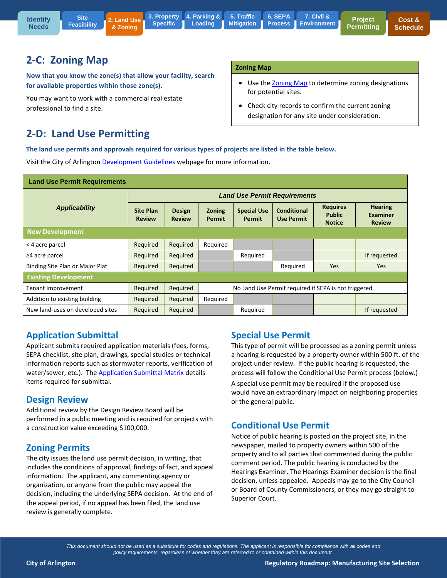

## **2-C: Zoning Map**

**Now that you know the zone(s) that allow your facility, search for available properties within those zone(s).**

You may want to work with a commercial real estate professional to find a site.

## **2-D: Land Use Permitting**

#### **Zoning Map**

- Use th[e Zoning Map](http://www.arlingtonwa.gov/modules/showdocument.aspx?documentid=6630) to determine zoning designations for potential sites.
- Check city records to confirm the current zoning designation for any site under consideration.

**The land use permits and approvals required for various types of projects are listed in the table below.**

Visit the City of Arlington [Development Guidelines](http://www.arlingtonwa.gov/index.aspx?page=146) webpage for more information.

| <b>Land Use Permit Requirements</b> |                                     |                                |                                                      |                                     |                                  |                                                   |                                                    |  |
|-------------------------------------|-------------------------------------|--------------------------------|------------------------------------------------------|-------------------------------------|----------------------------------|---------------------------------------------------|----------------------------------------------------|--|
|                                     | <b>Land Use Permit Requirements</b> |                                |                                                      |                                     |                                  |                                                   |                                                    |  |
| <b>Applicability</b>                | <b>Site Plan</b><br><b>Review</b>   | <b>Design</b><br><b>Review</b> | <b>Zoning</b><br><b>Permit</b>                       | <b>Special Use</b><br><b>Permit</b> | Conditional<br><b>Use Permit</b> | <b>Requires</b><br><b>Public</b><br><b>Notice</b> | <b>Hearing</b><br><b>Examiner</b><br><b>Review</b> |  |
| New Development                     |                                     |                                |                                                      |                                     |                                  |                                                   |                                                    |  |
| < 4 acre parcel                     | Required                            | Required                       | Required                                             |                                     |                                  |                                                   |                                                    |  |
| ≥4 acre parcel                      | Required                            | Required                       |                                                      | Required                            |                                  |                                                   | If requested                                       |  |
| Binding Site Plan or Major Plat     | Required                            | Required                       |                                                      |                                     | Required                         | Yes                                               | <b>Yes</b>                                         |  |
| <b>Existing Development</b>         |                                     |                                |                                                      |                                     |                                  |                                                   |                                                    |  |
| Tenant Improvement                  | Required                            | Required                       | No Land Use Permit required if SEPA is not triggered |                                     |                                  |                                                   |                                                    |  |
| Addition to existing building       | Required                            | Required                       | Required                                             |                                     |                                  |                                                   |                                                    |  |
| New land-uses on developed sites    | Reguired                            | Required                       |                                                      | Required                            |                                  |                                                   | If requested                                       |  |

### **Application Submittal**

Applicant submits required application materials (fees, forms, SEPA checklist, site plan, drawings, special studies or technical information reports such as stormwater reports, verification of water/sewer, etc.). The **Application Submittal Matrix details** items required for submittal.

### **Design Review**

Additional review by the Design Review Board will be performed in a public meeting and is required for projects with a construction value exceeding \$100,000.

### **Zoning Permits**

The city issues the land use permit decision, in writing, that includes the conditions of approval, findings of fact, and appeal information. The applicant, any commenting agency or organization, or anyone from the public may appeal the decision, including the underlying SEPA decision. At the end of the appeal period, if no appeal has been filed, the land use review is generally complete.

### **Special Use Permit**

This type of permit will be processed as a zoning permit unless a hearing is requested by a property owner within 500 ft. of the project under review. If the public hearing is requested, the process will follow the Conditional Use Permit process (below.)

A special use permit may be required if the proposed use would have an extraordinary impact on neighboring properties or the general public.

## **Conditional Use Permit**

Notice of public hearing is posted on the project site, in the newspaper, mailed to property owners within 500 of the property and to all parties that commented during the public comment period. The public hearing is conducted by the Hearings Examiner. The Hearings Examiner decision is the final decision, unless appealed. Appeals may go to the City Council or Board of County Commissioners, or they may go straight to Superior Court.

*This document should not be used as a substitute for codes and regulations. The applicant is responsible for compliance with all codes and policy requirements, regardless of whether they are referred to or contained within this document.*